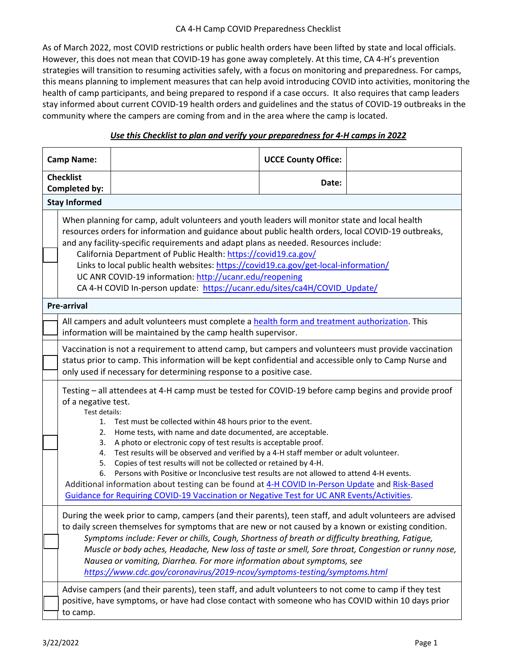## CA 4-H Camp COVID Preparedness Checklist

As of March 2022, most COVID restrictions or public health orders have been lifted by state and local officials. However, this does not mean that COVID-19 has gone away completely. At this time, CA 4-H's prevention strategies will transition to resuming activities safely, with a focus on monitoring and preparedness. For camps, this means planning to implement measures that can help avoid introducing COVID into activities, monitoring the health of camp participants, and being prepared to respond if a case occurs. It also requires that camp leaders stay informed about current COVID-19 health orders and guidelines and the status of COVID-19 outbreaks in the community where the campers are coming from and in the area where the camp is located.

## *Use this Checklist to plan and verify your preparedness for 4-H camps in 2022*

| <b>Camp Name:</b>                 |                                                                                                                                                                                                                                                                                                                                                                                                                                                                                                                                                                                                                                                                                                                                                                                                                                                |                                                                                                                                                                                                             | <b>UCCE County Office:</b> |  |  |
|-----------------------------------|------------------------------------------------------------------------------------------------------------------------------------------------------------------------------------------------------------------------------------------------------------------------------------------------------------------------------------------------------------------------------------------------------------------------------------------------------------------------------------------------------------------------------------------------------------------------------------------------------------------------------------------------------------------------------------------------------------------------------------------------------------------------------------------------------------------------------------------------|-------------------------------------------------------------------------------------------------------------------------------------------------------------------------------------------------------------|----------------------------|--|--|
| <b>Checklist</b><br>Completed by: |                                                                                                                                                                                                                                                                                                                                                                                                                                                                                                                                                                                                                                                                                                                                                                                                                                                |                                                                                                                                                                                                             | Date:                      |  |  |
| <b>Stay Informed</b>              |                                                                                                                                                                                                                                                                                                                                                                                                                                                                                                                                                                                                                                                                                                                                                                                                                                                |                                                                                                                                                                                                             |                            |  |  |
|                                   | When planning for camp, adult volunteers and youth leaders will monitor state and local health<br>resources orders for information and guidance about public health orders, local COVID-19 outbreaks,<br>and any facility-specific requirements and adapt plans as needed. Resources include:<br>California Department of Public Health: https://covid19.ca.gov/<br>Links to local public health websites: https://covid19.ca.gov/get-local-information/<br>UC ANR COVID-19 information: http://ucanr.edu/reopening<br>CA 4-H COVID In-person update: https://ucanr.edu/sites/ca4H/COVID_Update/                                                                                                                                                                                                                                               |                                                                                                                                                                                                             |                            |  |  |
| <b>Pre-arrival</b>                |                                                                                                                                                                                                                                                                                                                                                                                                                                                                                                                                                                                                                                                                                                                                                                                                                                                |                                                                                                                                                                                                             |                            |  |  |
|                                   | All campers and adult volunteers must complete a health form and treatment authorization. This<br>information will be maintained by the camp health supervisor.                                                                                                                                                                                                                                                                                                                                                                                                                                                                                                                                                                                                                                                                                |                                                                                                                                                                                                             |                            |  |  |
|                                   | Vaccination is not a requirement to attend camp, but campers and volunteers must provide vaccination<br>status prior to camp. This information will be kept confidential and accessible only to Camp Nurse and<br>only used if necessary for determining response to a positive case.                                                                                                                                                                                                                                                                                                                                                                                                                                                                                                                                                          |                                                                                                                                                                                                             |                            |  |  |
|                                   | Testing - all attendees at 4-H camp must be tested for COVID-19 before camp begins and provide proof<br>of a negative test.<br>Test details:<br>Test must be collected within 48 hours prior to the event.<br>1.<br>Home tests, with name and date documented, are acceptable.<br>2.<br>A photo or electronic copy of test results is acceptable proof.<br>3.<br>Test results will be observed and verified by a 4-H staff member or adult volunteer.<br>4.<br>Copies of test results will not be collected or retained by 4-H.<br>5.<br>Persons with Positive or Inconclusive test results are not allowed to attend 4-H events.<br>6.<br>Additional information about testing can be found at 4-H COVID In-Person Update and Risk-Based<br><b>Guidance for Requiring COVID-19 Vaccination or Negative Test for UC ANR Events/Activities.</b> |                                                                                                                                                                                                             |                            |  |  |
|                                   | During the week prior to camp, campers (and their parents), teen staff, and adult volunteers are advised<br>to daily screen themselves for symptoms that are new or not caused by a known or existing condition.<br>Symptoms include: Fever or chills, Cough, Shortness of breath or difficulty breathing, Fatigue,<br>Muscle or body aches, Headache, New loss of taste or smell, Sore throat, Congestion or runny nose,<br>Nausea or vomiting, Diarrhea. For more information about symptoms, see<br>https://www.cdc.gov/coronavirus/2019-ncov/symptoms-testing/symptoms.html                                                                                                                                                                                                                                                                |                                                                                                                                                                                                             |                            |  |  |
|                                   | to camp.                                                                                                                                                                                                                                                                                                                                                                                                                                                                                                                                                                                                                                                                                                                                                                                                                                       | Advise campers (and their parents), teen staff, and adult volunteers to not come to camp if they test<br>positive, have symptoms, or have had close contact with someone who has COVID within 10 days prior |                            |  |  |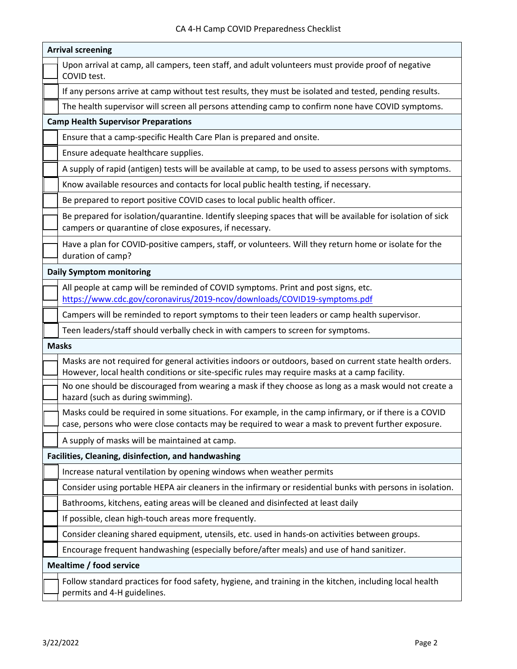| <b>Arrival screening</b>        |                                                                                                                                                                                                             |  |  |  |  |
|---------------------------------|-------------------------------------------------------------------------------------------------------------------------------------------------------------------------------------------------------------|--|--|--|--|
|                                 | Upon arrival at camp, all campers, teen staff, and adult volunteers must provide proof of negative<br>COVID test.                                                                                           |  |  |  |  |
|                                 | If any persons arrive at camp without test results, they must be isolated and tested, pending results.                                                                                                      |  |  |  |  |
|                                 | The health supervisor will screen all persons attending camp to confirm none have COVID symptoms.                                                                                                           |  |  |  |  |
|                                 | <b>Camp Health Supervisor Preparations</b>                                                                                                                                                                  |  |  |  |  |
|                                 | Ensure that a camp-specific Health Care Plan is prepared and onsite.                                                                                                                                        |  |  |  |  |
|                                 | Ensure adequate healthcare supplies.                                                                                                                                                                        |  |  |  |  |
|                                 | A supply of rapid (antigen) tests will be available at camp, to be used to assess persons with symptoms.                                                                                                    |  |  |  |  |
|                                 | Know available resources and contacts for local public health testing, if necessary.                                                                                                                        |  |  |  |  |
|                                 | Be prepared to report positive COVID cases to local public health officer.                                                                                                                                  |  |  |  |  |
|                                 | Be prepared for isolation/quarantine. Identify sleeping spaces that will be available for isolation of sick<br>campers or quarantine of close exposures, if necessary.                                      |  |  |  |  |
|                                 | Have a plan for COVID-positive campers, staff, or volunteers. Will they return home or isolate for the<br>duration of camp?                                                                                 |  |  |  |  |
| <b>Daily Symptom monitoring</b> |                                                                                                                                                                                                             |  |  |  |  |
|                                 | All people at camp will be reminded of COVID symptoms. Print and post signs, etc.<br>https://www.cdc.gov/coronavirus/2019-ncov/downloads/COVID19-symptoms.pdf                                               |  |  |  |  |
|                                 | Campers will be reminded to report symptoms to their teen leaders or camp health supervisor.                                                                                                                |  |  |  |  |
|                                 | Teen leaders/staff should verbally check in with campers to screen for symptoms.                                                                                                                            |  |  |  |  |
| <b>Masks</b>                    |                                                                                                                                                                                                             |  |  |  |  |
|                                 | Masks are not required for general activities indoors or outdoors, based on current state health orders.<br>However, local health conditions or site-specific rules may require masks at a camp facility.   |  |  |  |  |
|                                 | No one should be discouraged from wearing a mask if they choose as long as a mask would not create a<br>hazard (such as during swimming).                                                                   |  |  |  |  |
|                                 | Masks could be required in some situations. For example, in the camp infirmary, or if there is a COVID<br>case, persons who were close contacts may be required to wear a mask to prevent further exposure. |  |  |  |  |
|                                 | A supply of masks will be maintained at camp.                                                                                                                                                               |  |  |  |  |
|                                 | Facilities, Cleaning, disinfection, and handwashing                                                                                                                                                         |  |  |  |  |
|                                 | Increase natural ventilation by opening windows when weather permits                                                                                                                                        |  |  |  |  |
|                                 | Consider using portable HEPA air cleaners in the infirmary or residential bunks with persons in isolation.                                                                                                  |  |  |  |  |
|                                 | Bathrooms, kitchens, eating areas will be cleaned and disinfected at least daily                                                                                                                            |  |  |  |  |
|                                 | If possible, clean high-touch areas more frequently.                                                                                                                                                        |  |  |  |  |
|                                 | Consider cleaning shared equipment, utensils, etc. used in hands-on activities between groups.                                                                                                              |  |  |  |  |
|                                 | Encourage frequent handwashing (especially before/after meals) and use of hand sanitizer.                                                                                                                   |  |  |  |  |
| Mealtime / food service         |                                                                                                                                                                                                             |  |  |  |  |
|                                 | Follow standard practices for food safety, hygiene, and training in the kitchen, including local health<br>permits and 4-H guidelines.                                                                      |  |  |  |  |